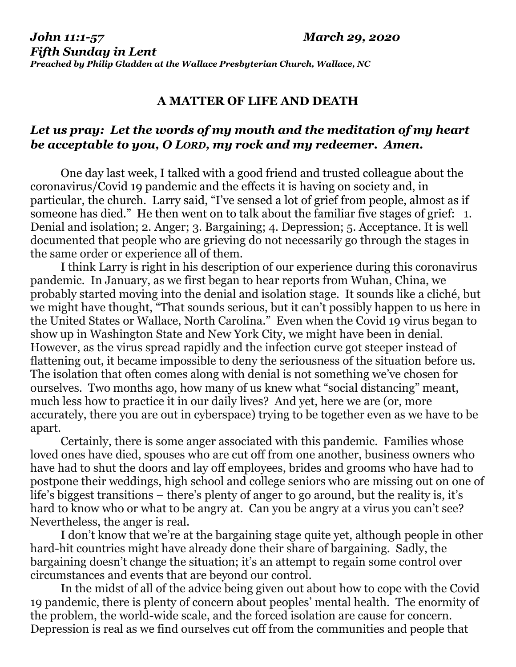## **A MATTER OF LIFE AND DEATH**

## *Let us pray: Let the words of my mouth and the meditation of my heart be acceptable to you, O LORD, my rock and my redeemer. Amen.*

One day last week, I talked with a good friend and trusted colleague about the coronavirus/Covid 19 pandemic and the effects it is having on society and, in particular, the church. Larry said, "I've sensed a lot of grief from people, almost as if someone has died." He then went on to talk about the familiar five stages of grief: 1. Denial and isolation; 2. Anger; 3. Bargaining; 4. Depression; 5. Acceptance. It is well documented that people who are grieving do not necessarily go through the stages in the same order or experience all of them.

I think Larry is right in his description of our experience during this coronavirus pandemic. In January, as we first began to hear reports from Wuhan, China, we probably started moving into the denial and isolation stage. It sounds like a cliché, but we might have thought, "That sounds serious, but it can't possibly happen to us here in the United States or Wallace, North Carolina." Even when the Covid 19 virus began to show up in Washington State and New York City, we might have been in denial. However, as the virus spread rapidly and the infection curve got steeper instead of flattening out, it became impossible to deny the seriousness of the situation before us. The isolation that often comes along with denial is not something we've chosen for ourselves. Two months ago, how many of us knew what "social distancing" meant, much less how to practice it in our daily lives? And yet, here we are (or, more accurately, there you are out in cyberspace) trying to be together even as we have to be apart.

Certainly, there is some anger associated with this pandemic. Families whose loved ones have died, spouses who are cut off from one another, business owners who have had to shut the doors and lay off employees, brides and grooms who have had to postpone their weddings, high school and college seniors who are missing out on one of life's biggest transitions – there's plenty of anger to go around, but the reality is, it's hard to know who or what to be angry at. Can you be angry at a virus you can't see? Nevertheless, the anger is real.

I don't know that we're at the bargaining stage quite yet, although people in other hard-hit countries might have already done their share of bargaining. Sadly, the bargaining doesn't change the situation; it's an attempt to regain some control over circumstances and events that are beyond our control.

In the midst of all of the advice being given out about how to cope with the Covid 19 pandemic, there is plenty of concern about peoples' mental health. The enormity of the problem, the world-wide scale, and the forced isolation are cause for concern. Depression is real as we find ourselves cut off from the communities and people that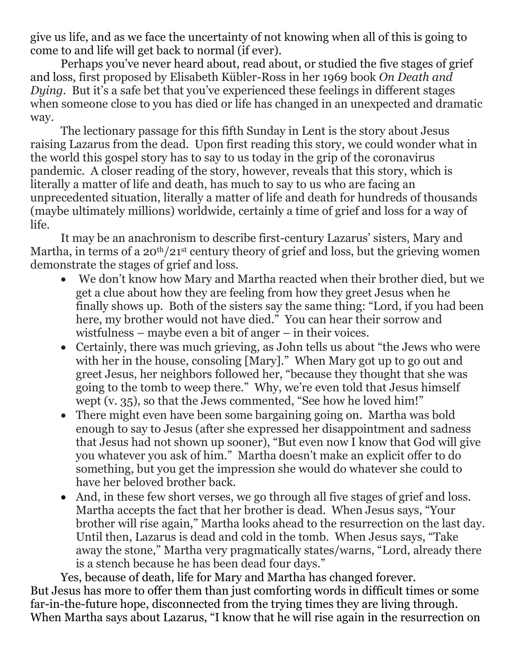give us life, and as we face the uncertainty of not knowing when all of this is going to come to and life will get back to normal (if ever).

Perhaps you've never heard about, read about, or studied the five stages of grief and loss, first proposed by Elisabeth Kübler-Ross in her 1969 book *On Death and Dying.* But it's a safe bet that you've experienced these feelings in different stages when someone close to you has died or life has changed in an unexpected and dramatic way.

The lectionary passage for this fifth Sunday in Lent is the story about Jesus raising Lazarus from the dead. Upon first reading this story, we could wonder what in the world this gospel story has to say to us today in the grip of the coronavirus pandemic. A closer reading of the story, however, reveals that this story, which is literally a matter of life and death, has much to say to us who are facing an unprecedented situation, literally a matter of life and death for hundreds of thousands (maybe ultimately millions) worldwide, certainly a time of grief and loss for a way of life.

It may be an anachronism to describe first-century Lazarus' sisters, Mary and Martha, in terms of a 20<sup>th</sup>/21<sup>st</sup> century theory of grief and loss, but the grieving women demonstrate the stages of grief and loss.

- We don't know how Mary and Martha reacted when their brother died, but we get a clue about how they are feeling from how they greet Jesus when he finally shows up. Both of the sisters say the same thing: "Lord, if you had been here, my brother would not have died." You can hear their sorrow and wistfulness – maybe even a bit of anger – in their voices.
- Certainly, there was much grieving, as John tells us about "the Jews who were with her in the house, consoling [Mary]." When Mary got up to go out and greet Jesus, her neighbors followed her, "because they thought that she was going to the tomb to weep there." Why, we're even told that Jesus himself wept (v. 35), so that the Jews commented, "See how he loved him!"
- There might even have been some bargaining going on. Martha was bold enough to say to Jesus (after she expressed her disappointment and sadness that Jesus had not shown up sooner), "But even now I know that God will give you whatever you ask of him." Martha doesn't make an explicit offer to do something, but you get the impression she would do whatever she could to have her beloved brother back.
- And, in these few short verses, we go through all five stages of grief and loss. Martha accepts the fact that her brother is dead. When Jesus says, "Your brother will rise again," Martha looks ahead to the resurrection on the last day. Until then, Lazarus is dead and cold in the tomb. When Jesus says, "Take away the stone," Martha very pragmatically states/warns, "Lord, already there is a stench because he has been dead four days."

Yes, because of death, life for Mary and Martha has changed forever. But Jesus has more to offer them than just comforting words in difficult times or some far-in-the-future hope, disconnected from the trying times they are living through. When Martha says about Lazarus, "I know that he will rise again in the resurrection on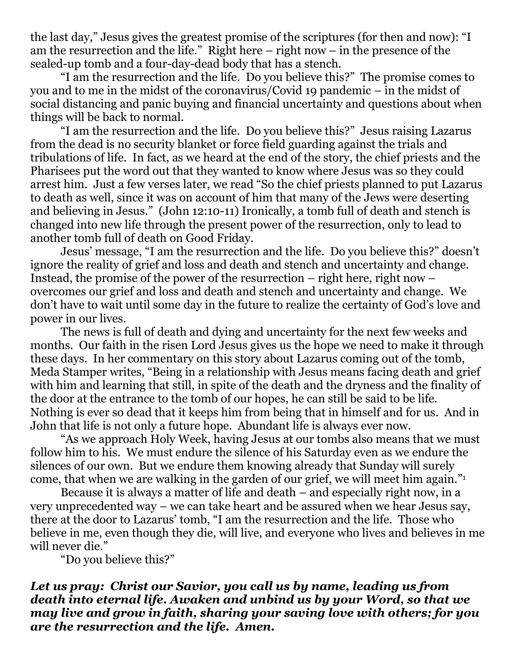the last day," Jesus gives the greatest promise of the scriptures (for then and now): "I am the resurrection and the life." Right here – right now – in the presence of the sealed-up tomb and a four-day-dead body that has a stench.

"I am the resurrection and the life. Do you believe this?" The promise comes to you and to me in the midst of the coronavirus/Covid 19 pandemic – in the midst of social distancing and panic buying and financial uncertainty and questions about when things will be back to normal.

"I am the resurrection and the life. Do you believe this?" Jesus raising Lazarus from the dead is no security blanket or force field guarding against the trials and tribulations of life. In fact, as we heard at the end of the story, the chief priests and the Pharisees put the word out that they wanted to know where Jesus was so they could arrest him. Just a few verses later, we read "So the chief priests planned to put Lazarus to death as well, since it was on account of him that many of the Jews were deserting and believing in Jesus." (John 12:10-11) Ironically, a tomb full of death and stench is changed into new life through the present power of the resurrection, only to lead to another tomb full of death on Good Friday.

Jesus' message, "I am the resurrection and the life. Do you believe this?" doesn't ignore the reality of grief and loss and death and stench and uncertainty and change. Instead, the promise of the power of the resurrection – right here, right now – overcomes our grief and loss and death and stench and uncertainty and change. We don't have to wait until some day in the future to realize the certainty of God's love and power in our lives.

The news is full of death and dying and uncertainty for the next few weeks and months. Our faith in the risen Lord Jesus gives us the hope we need to make it through these days. In her commentary on this story about Lazarus coming out of the tomb, Meda Stamper writes, "Being in a relationship with Jesus means facing death and grief with him and learning that still, in spite of the death and the dryness and the finality of the door at the entrance to the tomb of our hopes, he can still be said to be life. Nothing is ever so dead that it keeps him from being that in himself and for us. And in John that life is not only a future hope. Abundant life is always ever now.

"As we approach Holy Week, having Jesus at our tombs also means that we must follow him to his. We must endure the silence of his Saturday even as we endure the silences of our own. But we endure them knowing already that Sunday will surely come, that when we are walking in the garden of our grief, we will meet him again."<sup>1</sup>

Because it is always a matter of life and death – and especially right now, in a very unprecedented way – we can take heart and be assured when we hear Jesus say, there at the door to Lazarus' tomb, "I am the resurrection and the life. Those who believe in me, even though they die, will live, and everyone who lives and believes in me will never die."

"Do you believe this?"

## *Let us pray: Christ our Savior, you call us by name, leading us from death into eternal life. Awaken and unbind us by your Word, so that we may live and grow in faith, sharing your saving love with others; for you are the resurrection and the life. Amen.*